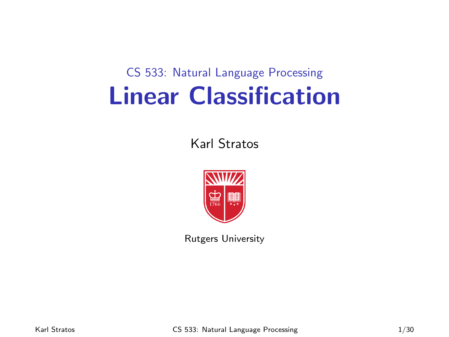# CS 533: Natural Language Processing Linear Classification

#### Karl Stratos



Rutgers University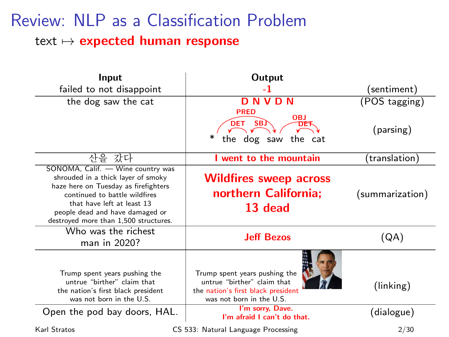#### Review: NLP as a Classification Problem text  $\mapsto$  expected human response

| Input                                                                                                                                                                                                                                                      | Output                                                                                                                                                                            |                                  |
|------------------------------------------------------------------------------------------------------------------------------------------------------------------------------------------------------------------------------------------------------------|-----------------------------------------------------------------------------------------------------------------------------------------------------------------------------------|----------------------------------|
| failed to not disappoint                                                                                                                                                                                                                                   | -1                                                                                                                                                                                | (sentiment)                      |
| the dog saw the cat                                                                                                                                                                                                                                        | <b>DNVDN</b>                                                                                                                                                                      | (POS tagging)                    |
|                                                                                                                                                                                                                                                            | <b>PRED</b><br><b>OBJ</b><br>DET SBJ<br>the dog saw the cat                                                                                                                       | (parsing)                        |
| 산을 갔다                                                                                                                                                                                                                                                      | I went to the mountain                                                                                                                                                            | (translation)                    |
| SONOMA, Calif. - Wine country was<br>shrouded in a thick layer of smoky<br>haze here on Tuesday as firefighters<br>continued to battle wildfires<br>that have left at least 13<br>people dead and have damaged or<br>destroyed more than 1,500 structures. | <b>Wildfires sweep across</b><br>northern California:<br>13 dead                                                                                                                  | (summarization)                  |
| Who was the richest<br>man in 2020?                                                                                                                                                                                                                        | <b>Jeff Bezos</b>                                                                                                                                                                 | (QA)                             |
| Trump spent years pushing the<br>untrue "birther" claim that<br>the nation's first black president<br>was not born in the U.S.<br>Open the pod bay doors, HAL.                                                                                             | Trump spent years pushing the<br>untrue "birther" claim that<br>the nation's first black president<br>was not born in the U.S.<br>I'm sorry, Dave.<br>I'm afraid I can't do that. | $(\text{linking})$<br>(dialogue) |
| Karl Stratos                                                                                                                                                                                                                                               | CS 533: Natural Language Processing                                                                                                                                               | 2/30                             |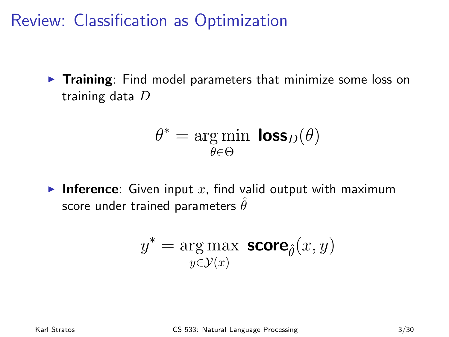Review: Classification as Optimization

 $\triangleright$  Training: Find model parameters that minimize some loss on training data D

$$
\theta^* = \underset{\theta \in \Theta}{\arg \min} \ \text{loss}_D(\theta)
$$

**Inference:** Given input x, find valid output with maximum score under trained parameters  $\hat{\theta}$ 

$$
y^* = \mathop{\arg\max}_{y \in \mathcal{Y}(x)} \textbf{score}_{\hat{\theta}}(x, y)
$$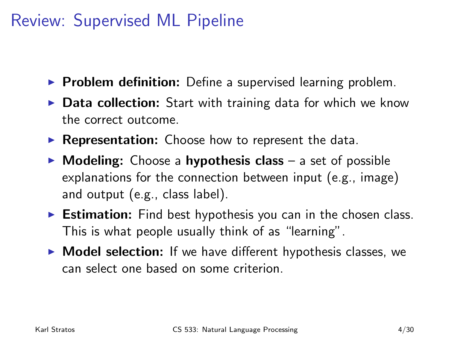# Review: Supervised ML Pipeline

- $\triangleright$  Problem definition: Define a supervised learning problem.
- $\triangleright$  Data collection: Start with training data for which we know the correct outcome.
- $\triangleright$  Representation: Choose how to represent the data.
- $\triangleright$  Modeling: Choose a hypothesis class a set of possible explanations for the connection between input (e.g., image) and output (e.g., class label).
- $\triangleright$  Estimation: Find best hypothesis you can in the chosen class. This is what people usually think of as "learning".
- $\triangleright$  Model selection: If we have different hypothesis classes, we can select one based on some criterion.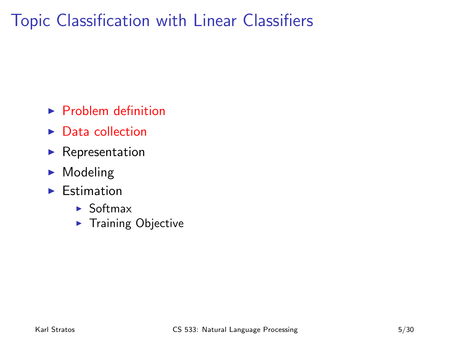# Topic Classification with Linear Classifiers

- $\blacktriangleright$  Problem definition
- $\triangleright$  Data collection
- $\blacktriangleright$  Representation
- $\blacktriangleright$  Modeling
- $\blacktriangleright$  Estimation
	- $\blacktriangleright$  Softmax
	- $\blacktriangleright$  Training Objective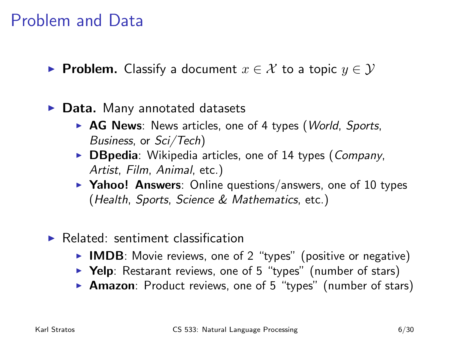#### Problem and Data

- ► Problem. Classify a document  $x \in \mathcal{X}$  to a topic  $y \in \mathcal{Y}$
- $\triangleright$  Data. Many annotated datasets
	- $\triangleright$  AG News: News articles, one of 4 types (*World, Sports,* Business, or Sci/Tech)
	- $\triangleright$  DBpedia: Wikipedia articles, one of 14 types (Company, Artist, Film, Animal, etc.)
	- $\triangleright$  Yahoo! Answers: Online questions/answers, one of 10 types (Health, Sports, Science & Mathematics, etc.)
- $\blacktriangleright$  Related: sentiment classification
	- $\triangleright$  IMDB: Movie reviews, one of 2 "types" (positive or negative)
	- $\triangleright$  Yelp: Restarant reviews, one of 5 "types" (number of stars)
	- **Amazon**: Product reviews, one of 5 "types" (number of stars)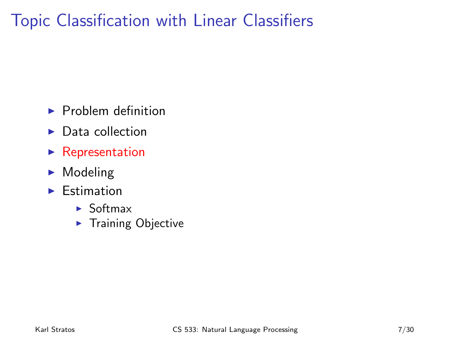# Topic Classification with Linear Classifiers

- $\blacktriangleright$  Problem definition
- $\blacktriangleright$  Data collection
- $\blacktriangleright$  Representation
- $\blacktriangleright$  Modeling
- $\blacktriangleright$  Estimation
	- $\blacktriangleright$  Softmax
	- $\blacktriangleright$  Training Objective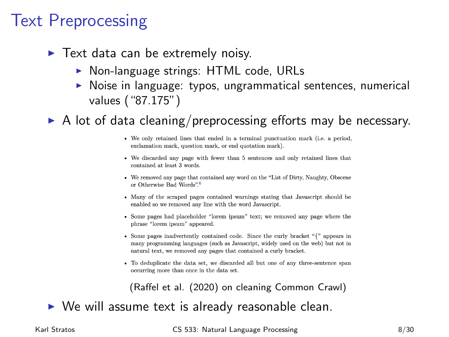# Text Preprocessing

- $\blacktriangleright$  Text data can be extremely noisy.
	- $\triangleright$  Non-language strings: HTML code, URLs
	- $\triangleright$  Noise in language: typos, ungrammatical sentences, numerical values ("87.175")

 $\triangleright$  A lot of data cleaning/preprocessing efforts may be necessary.

- We only retained lines that ended in a terminal punctuation mark (i.e. a period, exclamation mark, question mark, or end quotation mark).
- We discarded any page with fewer than 5 sentences and only retained lines that contained at least 3 words.
- We removed any page that contained any word on the "List of Dirty, Naughty, Obscene or Otherwise Bad Words".<sup>6</sup>
- Many of the scraped pages contained warnings stating that Javascript should be enabled so we removed any line with the word Javascript.
- Some pages had placeholder "lorem ipsum" text: we removed any page where the phrase "lorem ipsum" appeared.
- Some pages inadvertently contained code. Since the curly bracket "{" appears in many programming languages (such as Javascript, widely used on the web) but not in natural text, we removed any pages that contained a curly bracket.
- To deduplicate the data set, we discarded all but one of any three-sentence span occurring more than once in the data set.

(Raffel et al. (2020) on cleaning Common Crawl)

 $\triangleright$  We will assume text is already reasonable clean.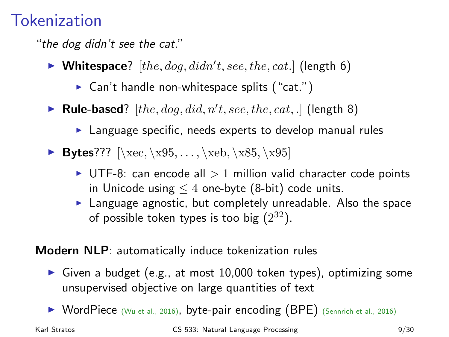# **Tokenization**

"the dog didn't see the cat."

- $\blacktriangleright$  Whitespace?  $[the, dog, didn't, see, the, cat.]$  (length 6)
	- $\triangleright$  Can't handle non-whitespace splits ("cat.")
- $\blacktriangleright$  Rule-based? [the, dog, did, n't, see, the, cat, .] (length 8)
	- $\blacktriangleright$  Language specific, needs experts to develop manual rules
- Bytes???  $[\xe$ ,  $x95, \ldots, \xeb, \x85, \x95]$ 
	- $\triangleright$  UTF-8: can encode all  $> 1$  million valid character code points in Unicode using  $\leq 4$  one-byte (8-bit) code units.
	- $\blacktriangleright$  Language agnostic, but completely unreadable. Also the space of possible token types is too big  $(2^{32})$ .

Modern NLP: automatically induce tokenization rules

- Given a budget (e.g., at most  $10,000$  token types), optimizing some unsupervised objective on large quantities of text
- ▶ WordPiece (Wu et al., 2016), byte-pair encoding (BPE) (Sennrich et al., 2016)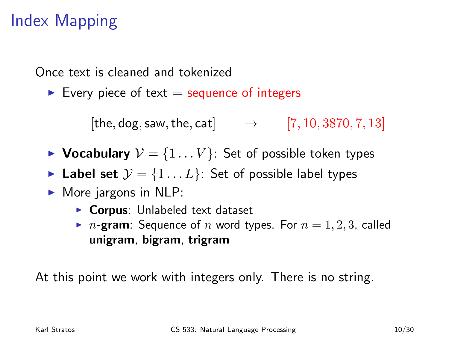# Index Mapping

Once text is cleaned and tokenized

Every piece of text  $=$  sequence of integers

[the, dog, saw, the, cat]  $\rightarrow$  [7, 10, 3870, 7, 13]

- $\triangleright$  Vocabulary  $V = \{1 \dots V\}$ : Set of possible token types
- ► Label set  $\mathcal{Y} = \{1 \dots L\}$ : Set of possible label types
- $\triangleright$  More jargons in NLP:
	- $\triangleright$  Corpus: Unlabeled text dataset
	- $\triangleright$  n-gram: Sequence of n word types. For  $n = 1, 2, 3$ , called unigram, bigram, trigram

At this point we work with integers only. There is no string.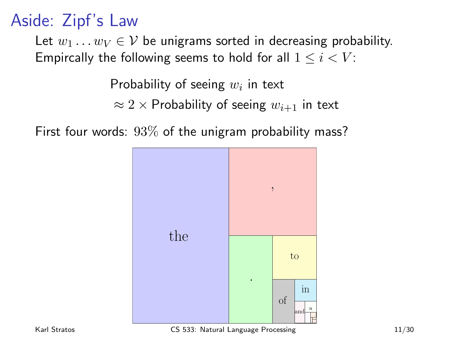# Aside: Zipf's Law

Let  $w_1 \dots w_V \in V$  be unigrams sorted in decreasing probability. Empircally the following seems to hold for all  $1 \leq i \leq V$ :

Probability of seeing  $w_i$  in text

 $\approx 2 \times$  Probability of seeing  $w_{i+1}$  in text

First four words:  $93\%$  of the unigram probability mass?



Karl Stratos **CS 533:** Natural Language Processing 11/30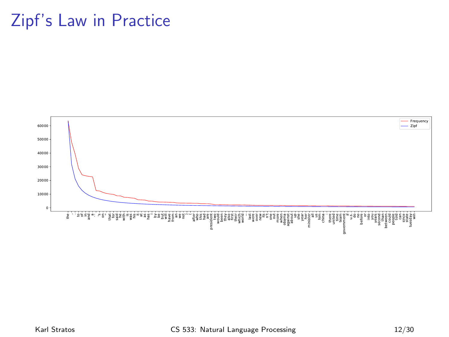#### Zipf's Law in Practice



#### Karl Stratos **CS 533:** Natural Language Processing 12/30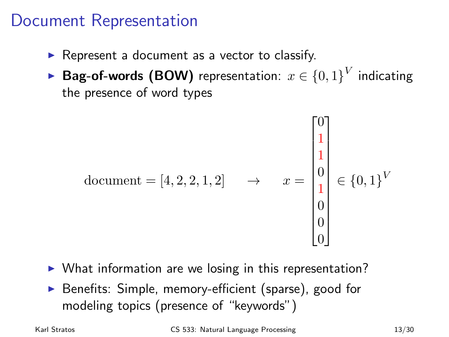#### Document Representation

- $\triangleright$  Represent a document as a vector to classify.
- ▶ <code>Bag-of-words (BOW)</code> representation:  $x\in\{0,1\}^{V}$  indicating the presence of word types

document = [4, 2, 2, 1, 2] 
$$
\rightarrow
$$
  $x = \begin{bmatrix} 0 \\ 1 \\ 0 \\ 1 \\ 0 \\ 0 \\ 0 \end{bmatrix} \in \{0, 1\}^V$ 

- $\triangleright$  What information are we losing in this representation?
- ▶ Benefits: Simple, memory-efficient (sparse), good for modeling topics (presence of "keywords")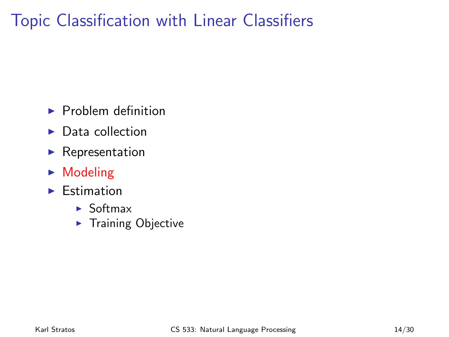# Topic Classification with Linear Classifiers

- $\blacktriangleright$  Problem definition
- $\blacktriangleright$  Data collection
- $\blacktriangleright$  Representation
- $\blacktriangleright$  Modeling
- $\blacktriangleright$  Estimation
	- $\blacktriangleright$  Softmax
	- $\blacktriangleright$  Training Objective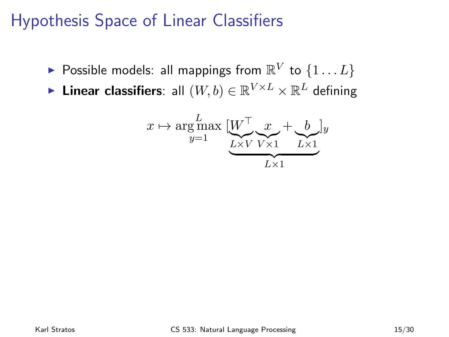# Hypothesis Space of Linear Classifiers

- $\blacktriangleright$  Possible models: all mappings from  $\mathbb{R}^V$  to  $\{1 \dots L\}$
- ► Linear classifiers: all  $(W, b) \in \mathbb{R}^{V \times L} \times \mathbb{R}^L$  defining

$$
x \mapsto \underset{y=1}{\arg\max} \underbrace{[W^{\top} \underset{L \times V}{\underbrace{x}} + \underset{L \times 1}{\underbrace{b}}]}_{L \times 1} y
$$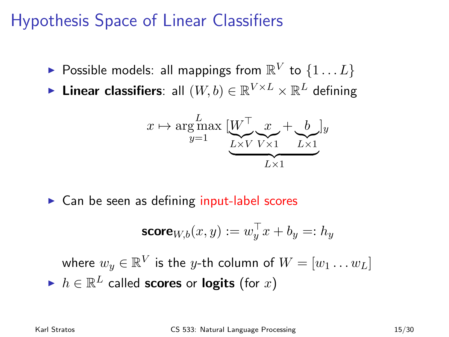# Hypothesis Space of Linear Classifiers

- $\blacktriangleright$  Possible models: all mappings from  $\mathbb{R}^V$  to  $\{1 \dots L\}$
- ► Linear classifiers: all  $(W, b) \in \mathbb{R}^{V \times L} \times \mathbb{R}^L$  defining

$$
x \mapsto \underset{y=1}{\text{arg}\max} \underbrace{[W^{\top} \underset{L \times V}{\underbrace{x}} \underset{V \times 1}{\underbrace{x}} + \underset{L \times 1}{\underbrace{b}}]y
$$

 $\triangleright$  Can be seen as defining input-label scores

$$
\mathbf{score}_{W,b}(x,y) := w_y^\top x + b_y =: h_y
$$

where  $w_y \in \mathbb{R}^V$  is the  $y$ -th column of  $W = [w_1 \dots w_L]$  $\blacktriangleright$   $h \in \mathbb{R}^L$  called scores or logits (for  $x$ )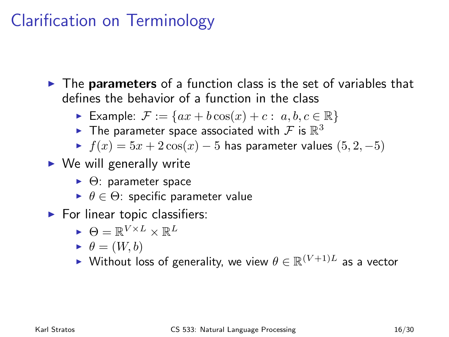# Clarification on Terminology

 $\triangleright$  The parameters of a function class is the set of variables that defines the behavior of a function in the class

- Example:  $\mathcal{F} := \{ax + b\cos(x) + c : a, b, c \in \mathbb{R}\}\$
- $\blacktriangleright$  The parameter space associated with  ${\mathcal F}$  is  $\mathbb{R}^3$
- $\blacktriangleright$   $f(x) = 5x + 2\cos(x) 5$  has parameter values  $(5, 2, -5)$
- $\triangleright$  We will generally write
	- $\blacktriangleright$   $\Theta$ : parameter space
	- $\blacktriangleright$   $\theta \in \Theta$ : specific parameter value
- $\blacktriangleright$  For linear topic classifiers:

$$
\textcolor{black}{\blacktriangleright} \ \Theta = \mathbb{R}^{V \times L} \times \mathbb{R}^L
$$

$$
\blacktriangleright \ \theta=(W,b)
$$

► Without loss of generality, we view  $\theta \in \mathbb{R}^{(V+1)L}$  as a vector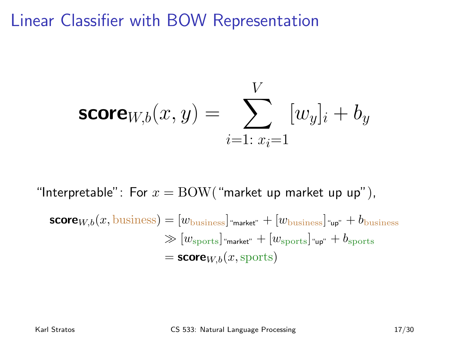#### Linear Classifier with BOW Representation

$$
\text{score}_{W,b}(x, y) = \sum_{i=1: \ x_i=1}^{V} [w_y]_i + b_y
$$

"Interpretable": For  $x = \text{BOW}$  ("market up market up up"),  $\mathsf{score}_{W,b}(x, \text{business}) = [w_{\text{business}}]_{\text{``market''}} + [w_{\text{business}}]_{\text{``up''}} + b_{\text{business}}$  $\gg [w_{\text{shorts}}]$ "market" +  $[w_{\text{shorts}}]$ "up" +  $b_{\text{shorts}}$  $=$  score<sub>W,b</sub> $(x,$ sports)

Karl Stratos **CS 533:** Natural Language Processing 17/30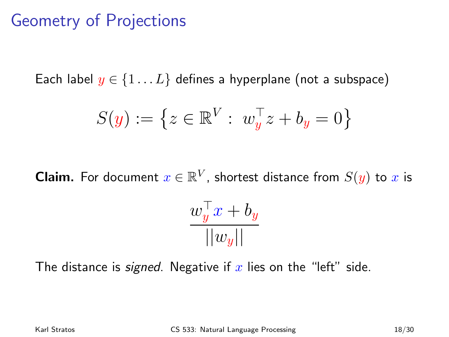# Geometry of Projections

Each label  $y \in \{1...L\}$  defines a hyperplane (not a subspace)

$$
S(y) := \left\{ z \in \mathbb{R}^V : \ w_y^\top z + b_y = 0 \right\}
$$

**Claim.** For document  $x \in \mathbb{R}^V$ , shortest distance from  $S(y)$  to  $x$  is

$$
\frac{w_y^\top x + b_y}{||w_y||}
$$

The distance is *signed*. Negative if x lies on the "left" side.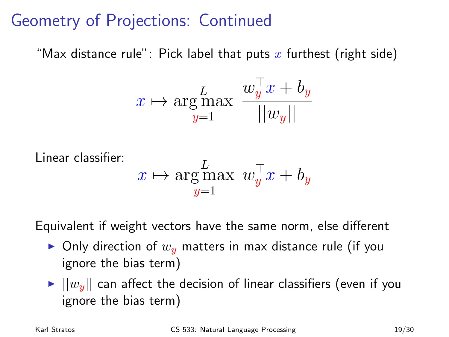# Geometry of Projections: Continued

"Max distance rule": Pick label that puts x furthest (right side)

$$
x \mapsto \underset{y=1}{\text{arg}\max} \ \frac{w_y^\top x + b_y}{||w_y||}
$$

$$
\begin{array}{ll} \text{Linear classifier:} \\ x \mapsto \underset{y=1}{\arg\max} \ w_{y}^{\top}x + b_{y} \end{array}
$$

Equivalent if weight vectors have the same norm, else different

- $\triangleright$  Only direction of  $w_u$  matters in max distance rule (if you ignore the bias term)
- $\blacktriangleright$   $||w_y||$  can affect the decision of linear classifiers (even if you ignore the bias term)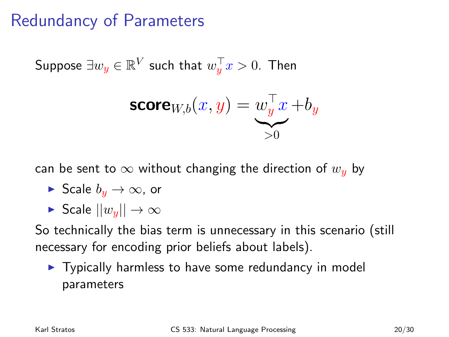# Redundancy of Parameters

Suppose  $\exists w_y \in \mathbb{R}^V$  such that  $w_y^\top x > 0.$  Then

$$
\mathsf{score}_{W,b}(x,y) = \underbrace{w_y^\top x}_{>0} + b_y
$$

can be sent to  $\infty$  without changing the direction of  $w<sub>u</sub>$  by

- ► Scale  $b_n \to \infty$ , or
- $\triangleright$  Scale  $||w_{\nu}|| \rightarrow \infty$

So technically the bias term is unnecessary in this scenario (still necessary for encoding prior beliefs about labels).

 $\triangleright$  Typically harmless to have some redundancy in model parameters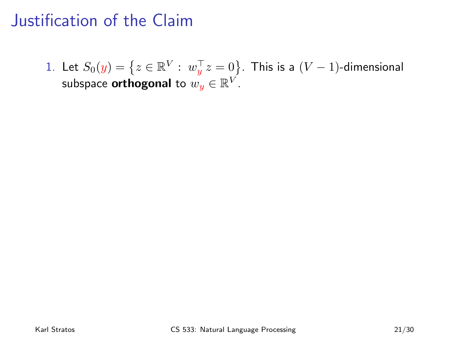<span id="page-21-1"></span><span id="page-21-0"></span>1. Let  $S_0(y)=\left\{z\in\mathbb{R}^V:\ w_y^\top z=0\right\}$ . This is a  $(V-1)$ -dimensional subspace  $\boldsymbol{\mathsf{orthogonal}}$  to  $w_{\bm{y}}\in\mathbb{R}^V.$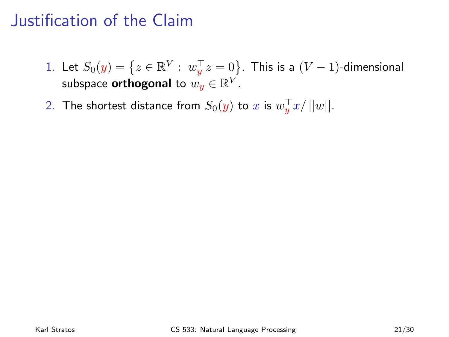- 1. Let  $S_0(y)=\left\{z\in\mathbb{R}^V:\ w_y^\top z=0\right\}$ . This is a  $(V-1)$ -dimensional subspace  $\boldsymbol{\mathsf{orthogonal}}$  to  $w_{\bm{y}}\in\mathbb{R}^V.$
- 2. The shortest distance from  $S_0(y)$  to  $x$  is  $w_y^\top x / ||w||.$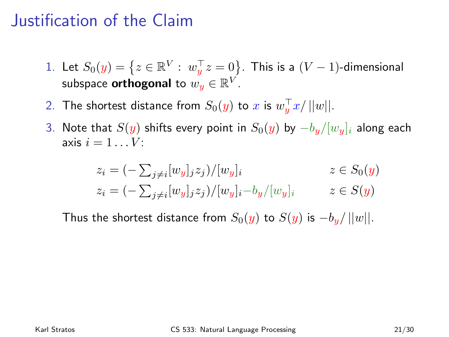- 1. Let  $S_0(y)=\left\{z\in\mathbb{R}^V:\ w_y^\top z=0\right\}$ . This is a  $(V-1)$ -dimensional subspace  $\boldsymbol{\mathsf{orthogonal}}$  to  $w_{\bm{y}}\in\mathbb{R}^V.$
- 2. The shortest distance from  $S_0(y)$  to  $x$  is  $w_y^\top x / ||w||.$
- 3. Note that  $S(y)$  shifts every point in  $S_0(y)$  by  $-b_y/[w_y]_i$  along each axis  $i = 1 \dots V$ :

$$
z_i = (-\sum_{j \neq i} [w_y]_j z_j) / [w_y]_i \qquad z \in S_0(y)
$$
  

$$
z_i = (-\sum_{j \neq i} [w_y]_j z_j) / [w_y]_i - b_y / [w_y]_i \qquad z \in S(y)
$$

Thus the shortest distance from  $S_0(y)$  to  $S(y)$  is  $-b<sub>u</sub>/||w||$ .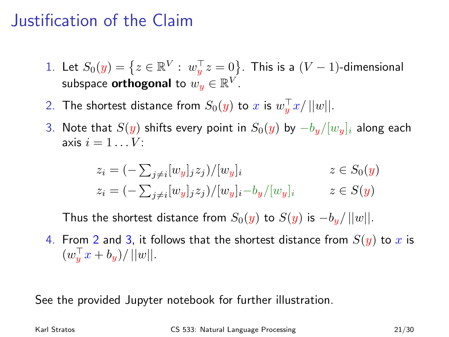- 1. Let  $S_0(y)=\left\{z\in\mathbb{R}^V:\ w_y^\top z=0\right\}$ . This is a  $(V-1)$ -dimensional subspace  $\boldsymbol{\mathsf{orthogonal}}$  to  $w_{\bm{y}}\in\mathbb{R}^V.$
- 2. The shortest distance from  $S_0(y)$  to  $x$  is  $w_y^\top x / ||w||.$
- 3. Note that  $S(y)$  shifts every point in  $S_0(y)$  by  $-b_y/[w_y]_i$  along each axis  $i = 1 \ldots V$ :

$$
z_i = (-\sum_{j \neq i} [w_y]_j z_j) / [w_y]_i \qquad z \in S_0(y)
$$
  

$$
z_i = (-\sum_{j \neq i} [w_y]_j z_j) / [w_y]_i - b_y / [w_y]_i \qquad z \in S(y)
$$

Thus the shortest distance from  $S_0(y)$  to  $S(y)$  is  $-b_y/||w||$ .

4. From [2](#page-21-0) and [3,](#page-21-1) it follows that the shortest distance from  $S(y)$  to x is  $(w_y^{\top} x + b_y)/||w||.$ 

See the provided Jupyter notebook for further illustration.

Karl Stratos **CS 533:** Natural Language Processing 21/30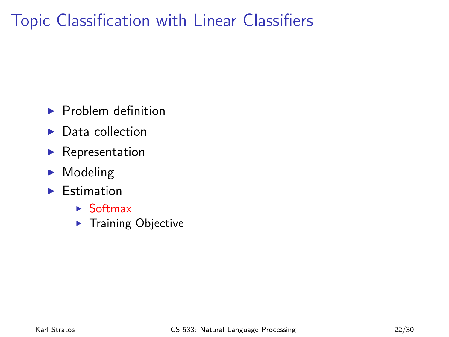# Topic Classification with Linear Classifiers

- $\blacktriangleright$  Problem definition
- $\blacktriangleright$  Data collection
- $\blacktriangleright$  Representation
- $\blacktriangleright$  Modeling
- $\blacktriangleright$  Estimation
	- $\blacktriangleright$  Softmax
	- $\blacktriangleright$  Training Objective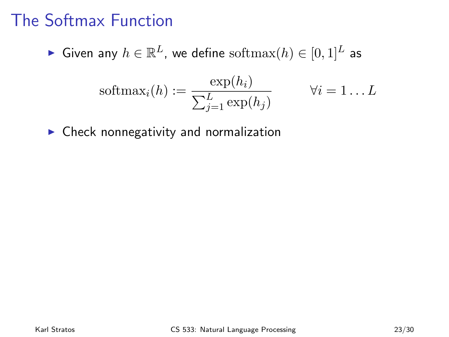# The Softmax Function

$$
\quad \blacktriangleright \text{ Given any } h \in \mathbb{R}^L \text{, we define softmax}(h) \in [0,1]^L \text{ as }
$$

$$
softmax_i(h) := \frac{\exp(h_i)}{\sum_{j=1}^{L} \exp(h_j)} \qquad \forall i = 1...L
$$

 $\triangleright$  Check nonnegativity and normalization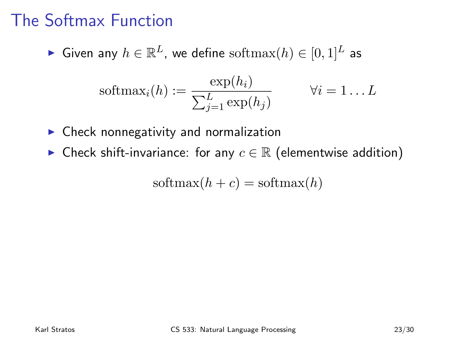# The Softmax Function

► Given any  $h \in \mathbb{R}^L$ , we define  $\text{softmax}(h) \in [0,1]^L$  as

$$
softmax_i(h) := \frac{\exp(h_i)}{\sum_{j=1}^{L} \exp(h_j)} \qquad \forall i = 1...L
$$

- $\triangleright$  Check nonnegativity and normalization
- ► Check shift-invariance: for any  $c \in \mathbb{R}$  (elementwise addition)

$$
softmax(h + c) = softmax(h)
$$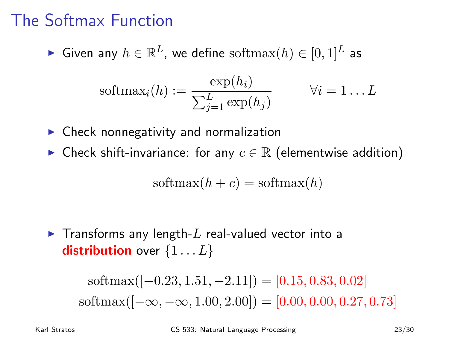# The Softmax Function

► Given any  $h \in \mathbb{R}^L$ , we define  $\text{softmax}(h) \in [0,1]^L$  as

$$
softmax_i(h) := \frac{\exp(h_i)}{\sum_{j=1}^{L} \exp(h_j)} \qquad \forall i = 1...L
$$

- $\triangleright$  Check nonnegativity and normalization
- ► Check shift-invariance: for any  $c \in \mathbb{R}$  (elementwise addition)

$$
\text{softmax}(h + c) = \text{softmax}(h)
$$

 $\blacktriangleright$  Transforms any length-L real-valued vector into a **distribution** over  $\{1...L\}$ 

> $\text{softmax}([-0.23, 1.51, -2.11]) = [0.15, 0.83, 0.02]$  $\text{softmax}([-\infty, -\infty, 1.00, 2.00]) = [0.00, 0.00, 0.27, 0.73]$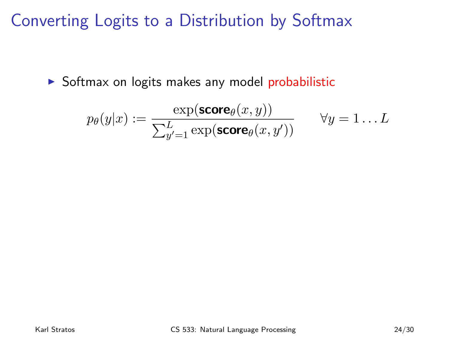Converting Logits to a Distribution by Softmax

 $\triangleright$  Softmax on logits makes any model probabilistic

$$
p_{\theta}(y|x) := \frac{\exp(\text{score}_{\theta}(x, y))}{\sum_{y'=1}^{L} \exp(\text{score}_{\theta}(x, y'))} \qquad \forall y = 1...L
$$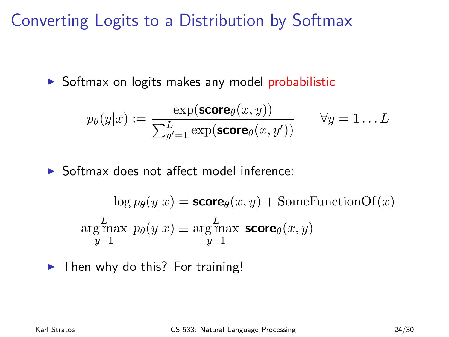Converting Logits to a Distribution by Softmax

 $\triangleright$  Softmax on logits makes any model probabilistic

$$
p_{\theta}(y|x) := \frac{\exp(\text{score}_{\theta}(x, y))}{\sum_{y'=1}^{L} \exp(\text{score}_{\theta}(x, y'))} \qquad \forall y = 1...L
$$

 $\triangleright$  Softmax does not affect model inference:

$$
\log p_{\theta}(y|x) = \text{score}_{\theta}(x, y) + \text{SomeFunctionOf}(x)
$$

$$
\underset{y=1}{\text{arg max}} \ p_{\theta}(y|x) \equiv \underset{y=1}{\text{arg max}} \ \text{score}_{\theta}(x, y)
$$

 $\blacktriangleright$  Then why do this? For training!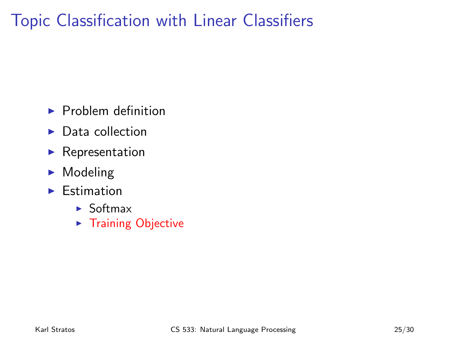# Topic Classification with Linear Classifiers

- $\blacktriangleright$  Problem definition
- $\blacktriangleright$  Data collection
- $\blacktriangleright$  Representation
- $\blacktriangleright$  Modeling
- $\blacktriangleright$  Estimation
	- $\blacktriangleright$  Softmax
	- $\blacktriangleright$  Training Objective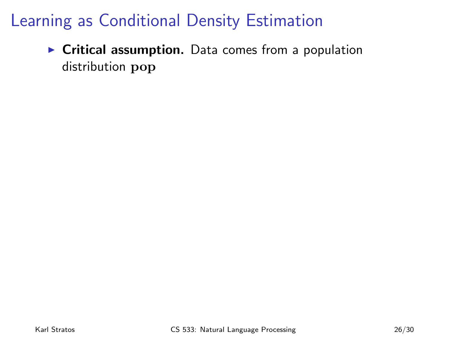$\triangleright$  Critical assumption. Data comes from a population distribution pop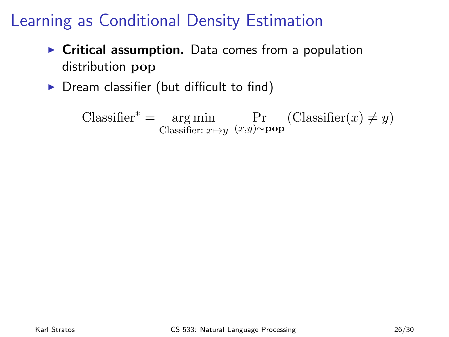- $\triangleright$  Critical assumption. Data comes from a population distribution pop
- $\triangleright$  Dream classifier (but difficult to find)

 $\text{Classifier}^* = \text{arg min}$ Classifier:  $x \mapsto y$ Pr (Classifier(x) ≠ y)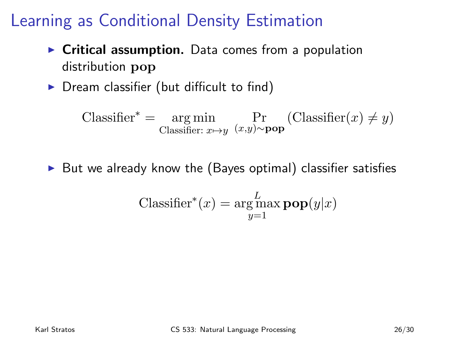- $\triangleright$  Critical assumption. Data comes from a population distribution pop
- $\triangleright$  Dream classifier (but difficult to find)

 $\text{Classifier}^* = \text{arg min}$ Classifier:  $x \mapsto y$ Pr (Classifier(x) ≠ y)

 $\triangleright$  But we already know the (Bayes optimal) classifier satisfies

$$
\text{Classifier}^*(x) = \underset{y=1}{\text{arg}\max} \mathbf{pop}(y|x)
$$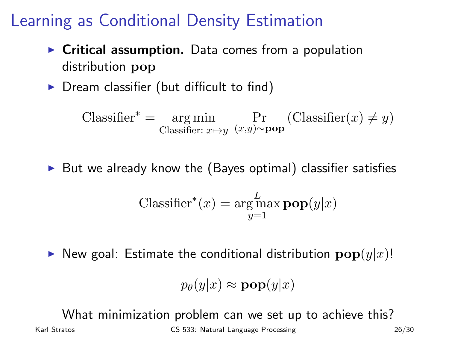- $\triangleright$  Critical assumption. Data comes from a population distribution pop
- $\triangleright$  Dream classifier (but difficult to find)

 $\text{Classifier}^* = \text{arg min}$ Classifier:  $x \mapsto y$ Pr (Classifier(x) ≠ y)

 $\triangleright$  But we already know the (Bayes optimal) classifier satisfies

$$
\text{Classifier}^*(x) = \underset{y=1}{\text{arg}\max} \mathbf{pop}(y|x)
$$

 $\triangleright$  New goal: Estimate the conditional distribution  $\mathbf{pop}(y|x)$ !

$$
p_{\theta}(y|x) \approx \mathbf{pop}(y|x)
$$

What minimization problem can we set up to achieve this?

Karl Stratos **CS 533:** Natural Language Processing 26/30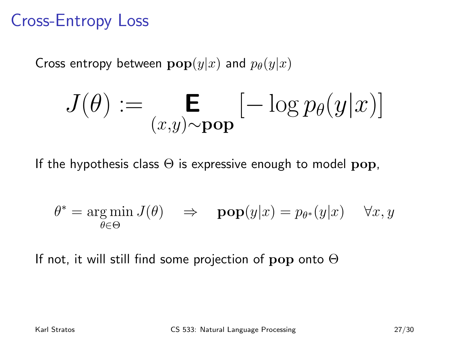# Cross-Entropy Loss

Cross entropy between  $\mathbf{pop}(y|x)$  and  $p_{\theta}(y|x)$ 

$$
J(\theta) := \mathop{\mathbf{E}}_{(x,y) \sim \mathbf{pop}} \left[ -\log p_\theta(y|x) \right]
$$

If the hypothesis class  $\Theta$  is expressive enough to model pop,

$$
\theta^* = \underset{\theta \in \Theta}{\arg \min} \, J(\theta) \quad \Rightarrow \quad \mathbf{pop}(y|x) = p_{\theta^*}(y|x) \quad \forall x, y
$$

If not, it will still find some projection of  $\bf{pop}$  onto  $\Theta$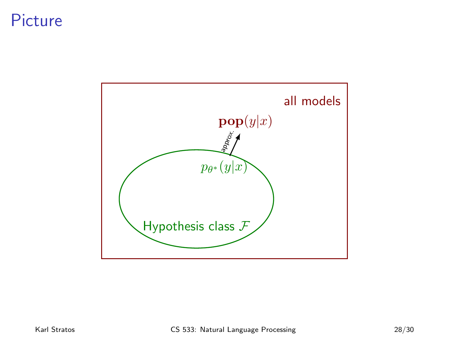#### Picture

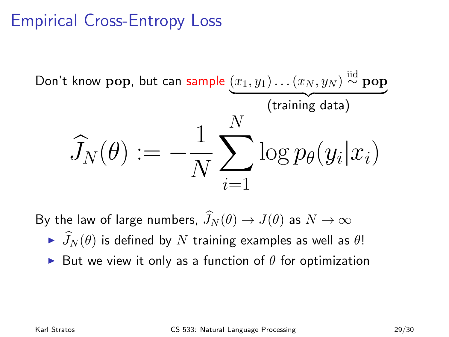# Empirical Cross-Entropy Loss



By the law of large numbers,  $\widehat{J}_N (\theta) \to J(\theta)$  as  $N \to \infty$ 

- $\longrightarrow \widehat{J}_N(\theta)$  is defined by N training examples as well as  $\theta$ !
- $\triangleright$  But we view it only as a function of  $\theta$  for optimization